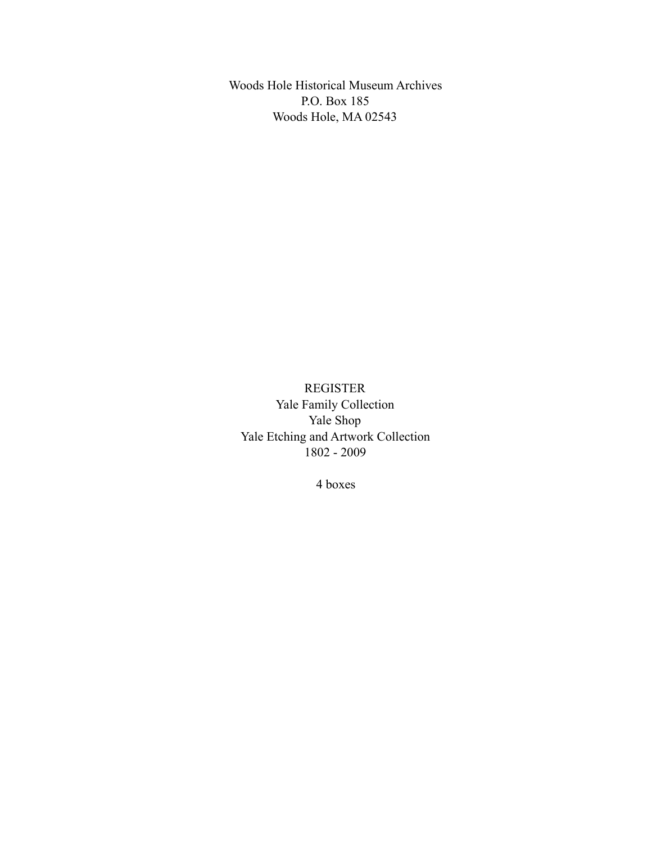Woods Hole Historical Museum Archives P.O. Box 185 Woods Hole, MA 02543

REGISTER Yale Family Collection Yale Shop Yale Etching and Artwork Collection 1802 - 2009

4 boxes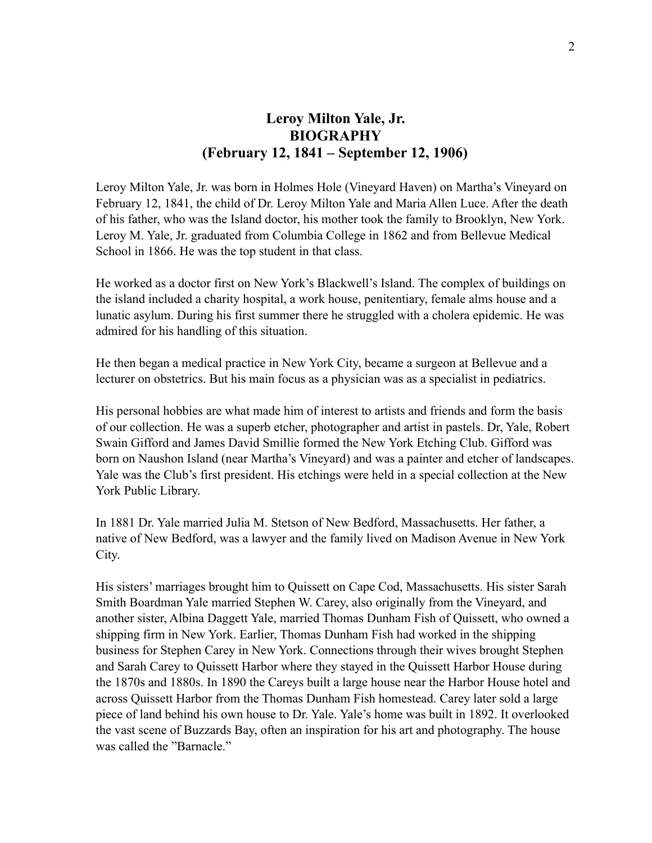# **Leroy Milton Yale, Jr. BIOGRAPHY (February 12, 1841 – September 12, 1906)**

Leroy Milton Yale, Jr. was born in Holmes Hole (Vineyard Haven) on Martha's Vineyard on February 12, 1841, the child of Dr. Leroy Milton Yale and Maria Allen Luce. After the death of his father, who was the Island doctor, his mother took the family to Brooklyn, New York. Leroy M. Yale, Jr. graduated from Columbia College in 1862 and from Bellevue Medical School in 1866. He was the top student in that class.

He worked as a doctor first on New York's Blackwell's Island. The complex of buildings on the island included a charity hospital, a work house, penitentiary, female alms house and a lunatic asylum. During his first summer there he struggled with a cholera epidemic. He was admired for his handling of this situation.

He then began a medical practice in New York City, became a surgeon at Bellevue and a lecturer on obstetrics. But his main focus as a physician was as a specialist in pediatrics.

His personal hobbies are what made him of interest to artists and friends and form the basis of our collection. He was a superb etcher, photographer and artist in pastels. Dr, Yale, Robert Swain Gifford and James David Smillie formed the New York Etching Club. Gifford was born on Naushon Island (near Martha's Vineyard) and was a painter and etcher of landscapes. Yale was the Club's first president. His etchings were held in a special collection at the New York Public Library.

In 1881 Dr. Yale married Julia M. Stetson of New Bedford, Massachusetts. Her father, a native of New Bedford, was a lawyer and the family lived on Madison Avenue in New York City.

His sisters' marriages brought him to Quissett on Cape Cod, Massachusetts. His sister Sarah Smith Boardman Yale married Stephen W. Carey, also originally from the Vineyard, and another sister, Albina Daggett Yale, married Thomas Dunham Fish of Quissett, who owned a shipping firm in New York. Earlier, Thomas Dunham Fish had worked in the shipping business for Stephen Carey in New York. Connections through their wives brought Stephen and Sarah Carey to Quissett Harbor where they stayed in the Quissett Harbor House during the 1870s and 1880s. In 1890 the Careys built a large house near the Harbor House hotel and across Quissett Harbor from the Thomas Dunham Fish homestead. Carey later sold a large piece of land behind his own house to Dr. Yale. Yale's home was built in 1892. It overlooked the vast scene of Buzzards Bay, often an inspiration for his art and photography. The house was called the "Barnacle."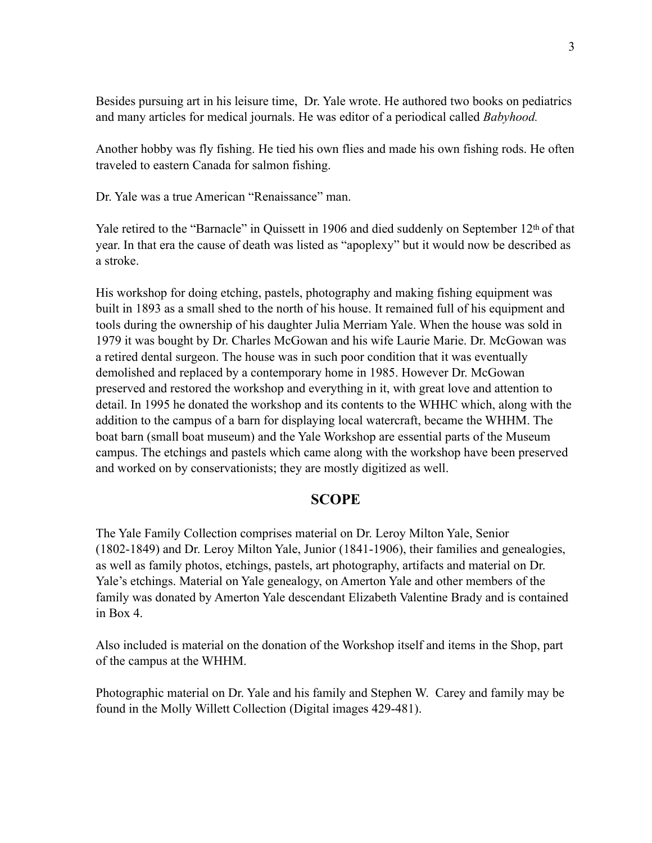Besides pursuing art in his leisure time, Dr. Yale wrote. He authored two books on pediatrics and many articles for medical journals. He was editor of a periodical called *Babyhood.*

Another hobby was fly fishing. He tied his own flies and made his own fishing rods. He often traveled to eastern Canada for salmon fishing.

Dr. Yale was a true American "Renaissance" man.

Yale retired to the "Barnacle" in Quissett in 1906 and died suddenly on September 12<sup>th</sup> of that year. In that era the cause of death was listed as "apoplexy" but it would now be described as a stroke.

His workshop for doing etching, pastels, photography and making fishing equipment was built in 1893 as a small shed to the north of his house. It remained full of his equipment and tools during the ownership of his daughter Julia Merriam Yale. When the house was sold in 1979 it was bought by Dr. Charles McGowan and his wife Laurie Marie. Dr. McGowan was a retired dental surgeon. The house was in such poor condition that it was eventually demolished and replaced by a contemporary home in 1985. However Dr. McGowan preserved and restored the workshop and everything in it, with great love and attention to detail. In 1995 he donated the workshop and its contents to the WHHC which, along with the addition to the campus of a barn for displaying local watercraft, became the WHHM. The boat barn (small boat museum) and the Yale Workshop are essential parts of the Museum campus. The etchings and pastels which came along with the workshop have been preserved and worked on by conservationists; they are mostly digitized as well.

## **SCOPE**

The Yale Family Collection comprises material on Dr. Leroy Milton Yale, Senior (1802-1849) and Dr. Leroy Milton Yale, Junior (1841-1906), their families and genealogies, as well as family photos, etchings, pastels, art photography, artifacts and material on Dr. Yale's etchings. Material on Yale genealogy, on Amerton Yale and other members of the family was donated by Amerton Yale descendant Elizabeth Valentine Brady and is contained in Box 4.

Also included is material on the donation of the Workshop itself and items in the Shop, part of the campus at the WHHM.

Photographic material on Dr. Yale and his family and Stephen W. Carey and family may be found in the Molly Willett Collection (Digital images 429-481).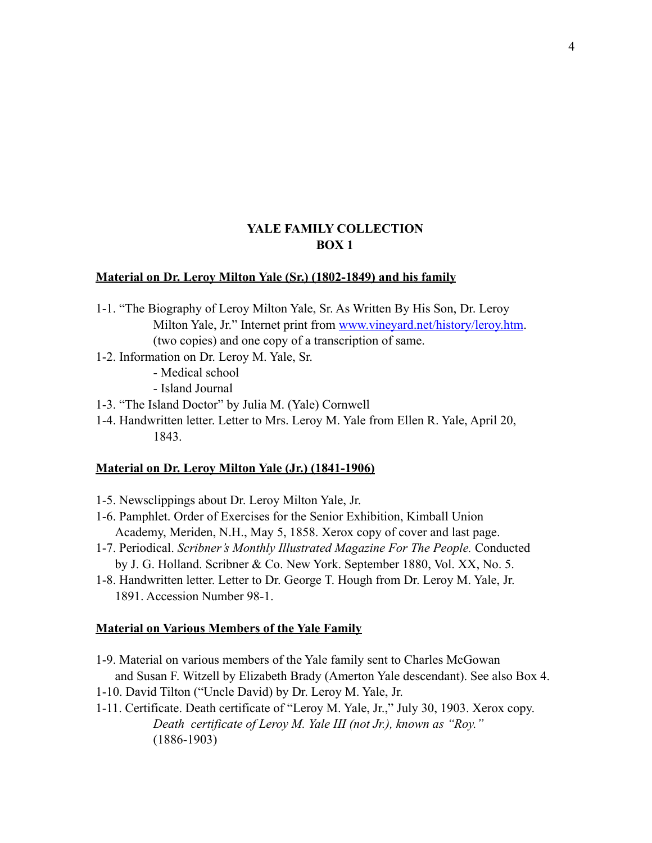### **YALE FAMILY COLLECTION BOX 1**

#### **Material on Dr. Leroy Milton Yale (Sr.) (1802-1849) and his family**

- 1-1. "The Biography of Leroy Milton Yale, Sr. As Written By His Son, Dr. Leroy Milton Yale, Jr." Internet print from [www.vineyard.net/history/leroy.htm.](http://www.vineyard.net/history/leroy.htm) (two copies) and one copy of a transcription of same.
- 1-2. Information on Dr. Leroy M. Yale, Sr.
	- Medical school
	- Island Journal
- 1-3. "The Island Doctor" by Julia M. (Yale) Cornwell
- 1-4. Handwritten letter. Letter to Mrs. Leroy M. Yale from Ellen R. Yale, April 20, 1843.

#### **Material on Dr. Leroy Milton Yale (Jr.) (1841-1906)**

- 1-5. Newsclippings about Dr. Leroy Milton Yale, Jr.
- 1-6. Pamphlet. Order of Exercises for the Senior Exhibition, Kimball Union Academy, Meriden, N.H., May 5, 1858. Xerox copy of cover and last page.
- 1-7. Periodical. *Scribner's Monthly Illustrated Magazine For The People.* Conducted by J. G. Holland. Scribner & Co. New York. September 1880, Vol. XX, No. 5.
- 1-8. Handwritten letter. Letter to Dr. George T. Hough from Dr. Leroy M. Yale, Jr. 1891. Accession Number 98-1.

#### **Material on Various Members of the Yale Family**

- 1-9. Material on various members of the Yale family sent to Charles McGowan and Susan F. Witzell by Elizabeth Brady (Amerton Yale descendant). See also Box 4.
- 1-10. David Tilton ("Uncle David) by Dr. Leroy M. Yale, Jr.
- 1-11. Certificate. Death certificate of "Leroy M. Yale, Jr.," July 30, 1903. Xerox copy.  *Death certificate of Leroy M. Yale III (not Jr.), known as "Roy."* (1886-1903)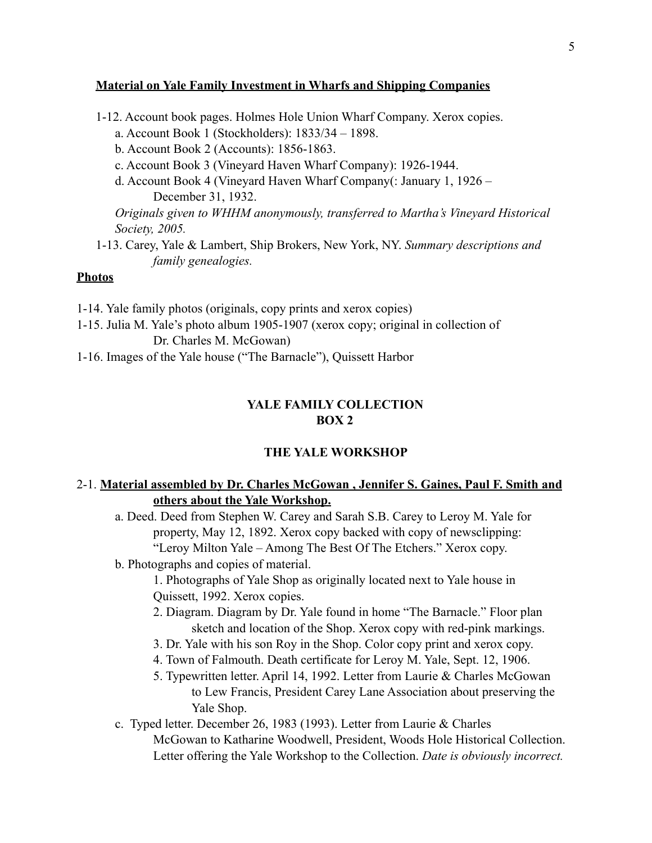#### **Material on Yale Family Investment in Wharfs and Shipping Companies**

- 1-12. Account book pages. Holmes Hole Union Wharf Company. Xerox copies. a. Account Book 1 (Stockholders): 1833/34 – 1898.
	- b. Account Book 2 (Accounts): 1856-1863.
	- c. Account Book 3 (Vineyard Haven Wharf Company): 1926-1944.
	- d. Account Book 4 (Vineyard Haven Wharf Company(: January 1, 1926 December 31, 1932.

*Originals given to WHHM anonymously, transferred to Martha's Vineyard Historical Society, 2005.* 

1-13. Carey, Yale & Lambert, Ship Brokers, New York, NY. *Summary descriptions and family genealogies.* 

### **Photos**

- 1-14. Yale family photos (originals, copy prints and xerox copies)
- 1-15. Julia M. Yale's photo album 1905-1907 (xerox copy; original in collection of Dr. Charles M. McGowan)
- 1-16. Images of the Yale house ("The Barnacle"), Quissett Harbor

### **YALE FAMILY COLLECTION BOX 2**

#### **THE YALE WORKSHOP**

## 2-1. **Material assembled by Dr. Charles McGowan , Jennifer S. Gaines, Paul F. Smith and others about the Yale Workshop.**

 a. Deed. Deed from Stephen W. Carey and Sarah S.B. Carey to Leroy M. Yale for property, May 12, 1892. Xerox copy backed with copy of newsclipping: "Leroy Milton Yale – Among The Best Of The Etchers." Xerox copy.

b. Photographs and copies of material.

1. Photographs of Yale Shop as originally located next to Yale house in Quissett, 1992. Xerox copies.

- 2. Diagram. Diagram by Dr. Yale found in home "The Barnacle." Floor plan sketch and location of the Shop. Xerox copy with red-pink markings.
- 3. Dr. Yale with his son Roy in the Shop. Color copy print and xerox copy.
- 4. Town of Falmouth. Death certificate for Leroy M. Yale, Sept. 12, 1906.
- 5. Typewritten letter. April 14, 1992. Letter from Laurie & Charles McGowan to Lew Francis, President Carey Lane Association about preserving the Yale Shop.

 c. Typed letter. December 26, 1983 (1993). Letter from Laurie & Charles McGowan to Katharine Woodwell, President, Woods Hole Historical Collection. Letter offering the Yale Workshop to the Collection. *Date is obviously incorrect.*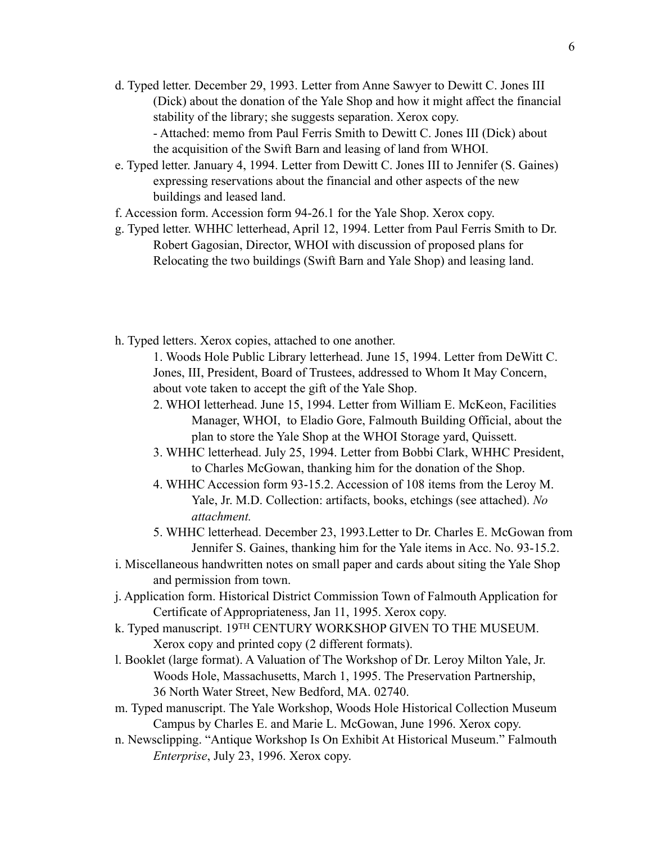- d. Typed letter. December 29, 1993. Letter from Anne Sawyer to Dewitt C. Jones III (Dick) about the donation of the Yale Shop and how it might affect the financial stability of the library; she suggests separation. Xerox copy. - Attached: memo from Paul Ferris Smith to Dewitt C. Jones III (Dick) about the acquisition of the Swift Barn and leasing of land from WHOI.
- e. Typed letter. January 4, 1994. Letter from Dewitt C. Jones III to Jennifer (S. Gaines) expressing reservations about the financial and other aspects of the new buildings and leased land.
- f. Accession form. Accession form 94-26.1 for the Yale Shop. Xerox copy.
- g. Typed letter. WHHC letterhead, April 12, 1994. Letter from Paul Ferris Smith to Dr. Robert Gagosian, Director, WHOI with discussion of proposed plans for Relocating the two buildings (Swift Barn and Yale Shop) and leasing land.
- h. Typed letters. Xerox copies, attached to one another.

1. Woods Hole Public Library letterhead. June 15, 1994. Letter from DeWitt C. Jones, III, President, Board of Trustees, addressed to Whom It May Concern, about vote taken to accept the gift of the Yale Shop.

- 2. WHOI letterhead. June 15, 1994. Letter from William E. McKeon, Facilities Manager, WHOI, to Eladio Gore, Falmouth Building Official, about the plan to store the Yale Shop at the WHOI Storage yard, Quissett.
- 3. WHHC letterhead. July 25, 1994. Letter from Bobbi Clark, WHHC President, to Charles McGowan, thanking him for the donation of the Shop.
- 4. WHHC Accession form 93-15.2. Accession of 108 items from the Leroy M. Yale, Jr. M.D. Collection: artifacts, books, etchings (see attached). *No attachment.*
- 5. WHHC letterhead. December 23, 1993.Letter to Dr. Charles E. McGowan from Jennifer S. Gaines, thanking him for the Yale items in Acc. No. 93-15.2.
- i. Miscellaneous handwritten notes on small paper and cards about siting the Yale Shop and permission from town.
- j. Application form. Historical District Commission Town of Falmouth Application for Certificate of Appropriateness, Jan 11, 1995. Xerox copy.
- k. Typed manuscript. 19TH CENTURY WORKSHOP GIVEN TO THE MUSEUM. Xerox copy and printed copy (2 different formats).
- l. Booklet (large format). A Valuation of The Workshop of Dr. Leroy Milton Yale, Jr. Woods Hole, Massachusetts, March 1, 1995. The Preservation Partnership, 36 North Water Street, New Bedford, MA. 02740.
- m. Typed manuscript. The Yale Workshop, Woods Hole Historical Collection Museum Campus by Charles E. and Marie L. McGowan, June 1996. Xerox copy.
- n. Newsclipping. "Antique Workshop Is On Exhibit At Historical Museum." Falmouth *Enterprise*, July 23, 1996. Xerox copy.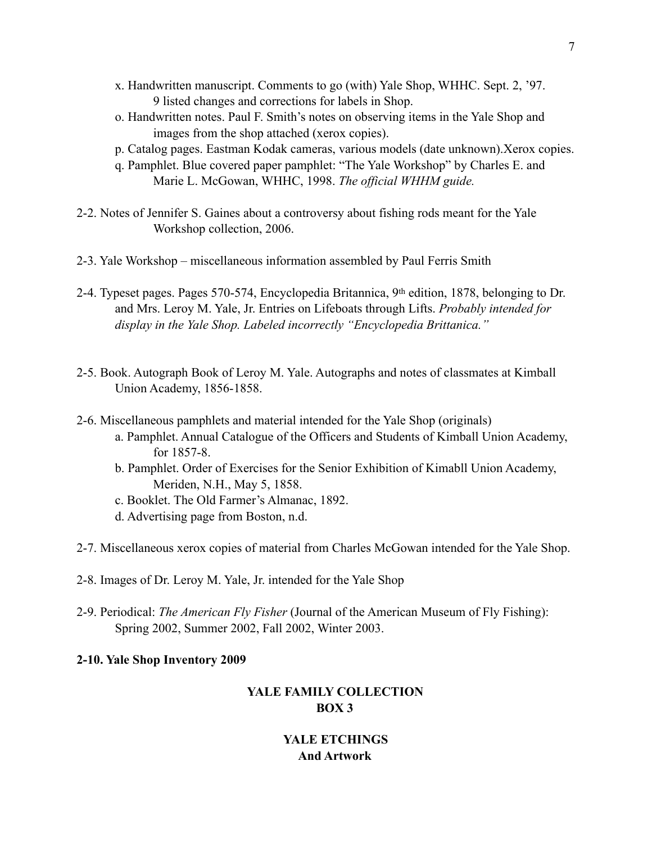- x. Handwritten manuscript. Comments to go (with) Yale Shop, WHHC. Sept. 2, '97. 9 listed changes and corrections for labels in Shop.
- o. Handwritten notes. Paul F. Smith's notes on observing items in the Yale Shop and images from the shop attached (xerox copies).
- p. Catalog pages. Eastman Kodak cameras, various models (date unknown).Xerox copies.
- q. Pamphlet. Blue covered paper pamphlet: "The Yale Workshop" by Charles E. and Marie L. McGowan, WHHC, 1998. *The official WHHM guide.*
- 2-2. Notes of Jennifer S. Gaines about a controversy about fishing rods meant for the Yale Workshop collection, 2006.
- 2-3. Yale Workshop miscellaneous information assembled by Paul Ferris Smith
- 2-4. Typeset pages. Pages 570-574, Encyclopedia Britannica, 9th edition, 1878, belonging to Dr. and Mrs. Leroy M. Yale, Jr. Entries on Lifeboats through Lifts. *Probably intended for display in the Yale Shop. Labeled incorrectly "Encyclopedia Brittanica."*
- 2-5. Book. Autograph Book of Leroy M. Yale. Autographs and notes of classmates at Kimball Union Academy, 1856-1858.
- 2-6. Miscellaneous pamphlets and material intended for the Yale Shop (originals)
	- a. Pamphlet. Annual Catalogue of the Officers and Students of Kimball Union Academy, for 1857-8.
	- b. Pamphlet. Order of Exercises for the Senior Exhibition of Kimabll Union Academy, Meriden, N.H., May 5, 1858.
	- c. Booklet. The Old Farmer's Almanac, 1892.
	- d. Advertising page from Boston, n.d.
- 2-7. Miscellaneous xerox copies of material from Charles McGowan intended for the Yale Shop.
- 2-8. Images of Dr. Leroy M. Yale, Jr. intended for the Yale Shop
- 2-9. Periodical: *The American Fly Fisher* (Journal of the American Museum of Fly Fishing): Spring 2002, Summer 2002, Fall 2002, Winter 2003.

#### **2-10. Yale Shop Inventory 2009**

### **YALE FAMILY COLLECTION BOX 3**

### **YALE ETCHINGS And Artwork**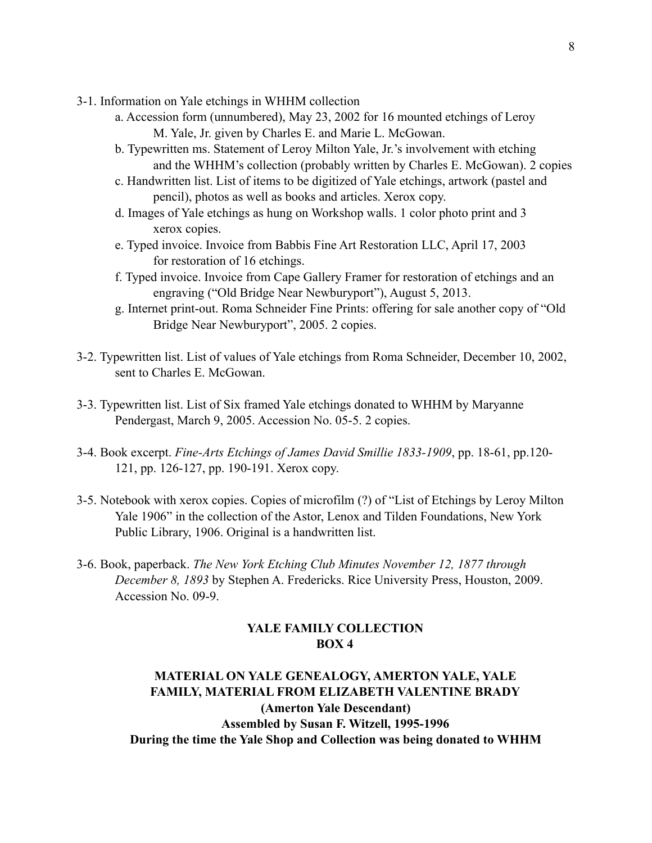- 3-1. Information on Yale etchings in WHHM collection
	- a. Accession form (unnumbered), May 23, 2002 for 16 mounted etchings of Leroy M. Yale, Jr. given by Charles E. and Marie L. McGowan.
	- b. Typewritten ms. Statement of Leroy Milton Yale, Jr.'s involvement with etching and the WHHM's collection (probably written by Charles E. McGowan). 2 copies
	- c. Handwritten list. List of items to be digitized of Yale etchings, artwork (pastel and pencil), photos as well as books and articles. Xerox copy.
	- d. Images of Yale etchings as hung on Workshop walls. 1 color photo print and 3 xerox copies.
	- e. Typed invoice. Invoice from Babbis Fine Art Restoration LLC, April 17, 2003 for restoration of 16 etchings.
	- f. Typed invoice. Invoice from Cape Gallery Framer for restoration of etchings and an engraving ("Old Bridge Near Newburyport"), August 5, 2013.
	- g. Internet print-out. Roma Schneider Fine Prints: offering for sale another copy of "Old Bridge Near Newburyport", 2005. 2 copies.
- 3-2. Typewritten list. List of values of Yale etchings from Roma Schneider, December 10, 2002, sent to Charles E. McGowan.
- 3-3. Typewritten list. List of Six framed Yale etchings donated to WHHM by Maryanne Pendergast, March 9, 2005. Accession No. 05-5. 2 copies.
- 3-4. Book excerpt. *Fine-Arts Etchings of James David Smillie 1833-1909*, pp. 18-61, pp.120- 121, pp. 126-127, pp. 190-191. Xerox copy.
- 3-5. Notebook with xerox copies. Copies of microfilm (?) of "List of Etchings by Leroy Milton Yale 1906" in the collection of the Astor, Lenox and Tilden Foundations, New York Public Library, 1906. Original is a handwritten list.
- 3-6. Book, paperback. *The New York Etching Club Minutes November 12, 1877 through December 8, 1893* by Stephen A. Fredericks. Rice University Press, Houston, 2009. Accession No. 09-9.

## **YALE FAMILY COLLECTION BOX 4**

## **MATERIAL ON YALE GENEALOGY, AMERTON YALE, YALE FAMILY, MATERIAL FROM ELIZABETH VALENTINE BRADY (Amerton Yale Descendant) Assembled by Susan F. Witzell, 1995-1996 During the time the Yale Shop and Collection was being donated to WHHM**